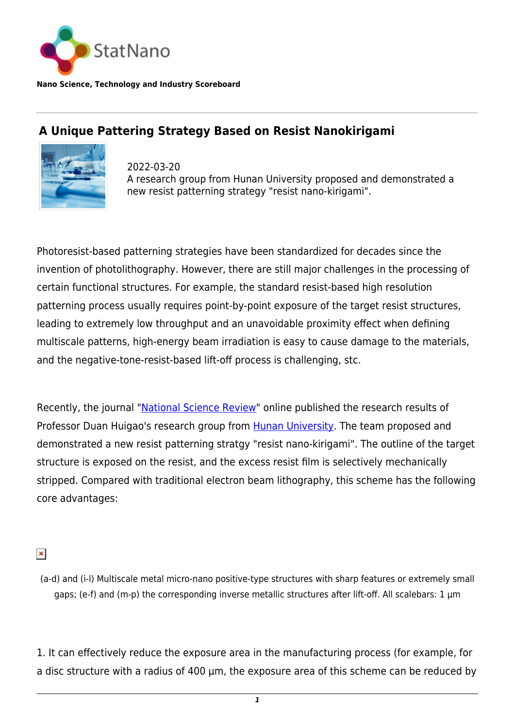

**Nano Science, Technology and Industry Scoreboard**

## **A Unique Pattering Strategy Based on Resist Nanokirigami**



2022-03-20 A research group from Hunan University proposed and demonstrated a new resist patterning strategy "resist nano-kirigami".

Photoresist-based patterning strategies have been standardized for decades since the invention of photolithography. However, there are still major challenges in the processing of certain functional structures. For example, the standard resist-based high resolution patterning process usually requires point-by-point exposure of the target resist structures, leading to extremely low throughput and an unavoidable proximity effect when defining multiscale patterns, high-energy beam irradiation is easy to cause damage to the materials, and the negative-tone-resist-based lift-off process is challenging, stc.

Recently, the journal ["National Science Review](https://doi.org/10.1093/nsr/nwab231)" online published the research results of Professor Duan Huigao's research group from [Hunan University.](https://statnano.com/org/Hunan-University) The team proposed and demonstrated a new resist patterning stratgy "resist nano-kirigami". The outline of the target structure is exposed on the resist, and the excess resist film is selectively mechanically stripped. Compared with traditional electron beam lithography, this scheme has the following core advantages:

## $\pmb{\times}$

(a-d) and (i-l) Multiscale metal micro-nano positive-type structures with sharp features or extremely small gaps; (e-f) and (m-p) the corresponding inverse metallic structures after lift-off. All scalebars: 1 µm

1. It can effectively reduce the exposure area in the manufacturing process (for example, for a disc structure with a radius of 400  $\mu$ m, the exposure area of this scheme can be reduced by